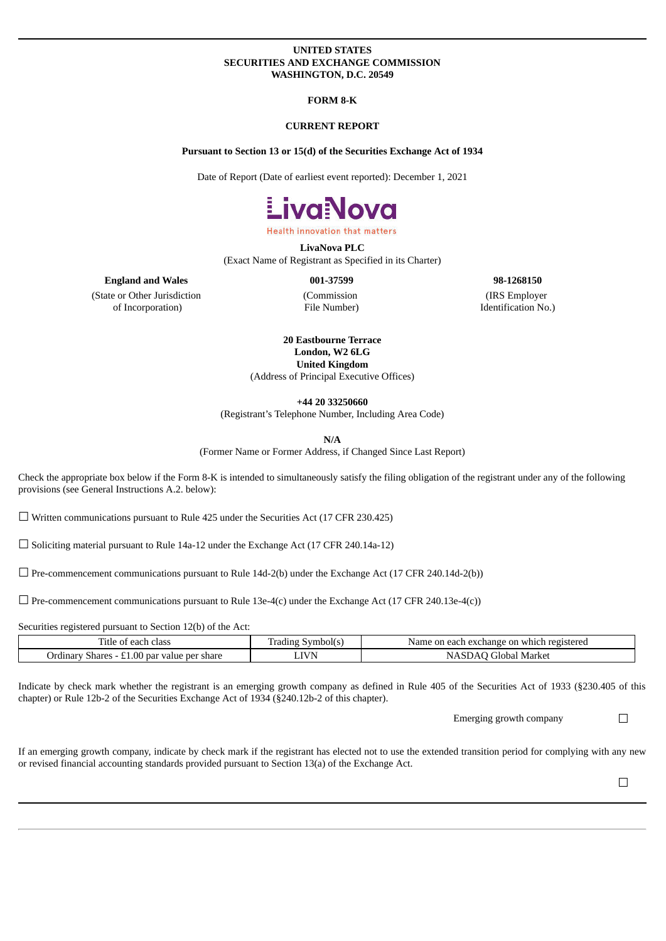## **UNITED STATES SECURITIES AND EXCHANGE COMMISSION WASHINGTON, D.C. 20549**

## **FORM 8-K**

### **CURRENT REPORT**

## **Pursuant to Section 13 or 15(d) of the Securities Exchange Act of 1934**

Date of Report (Date of earliest event reported): December 1, 2021



**Health innovation that matters** 

**LivaNova PLC**

(Exact Name of Registrant as Specified in its Charter)

## **England and Wales 001-37599 98-1268150**

(State or Other Jurisdiction of Incorporation)

(Commission File Number) (IRS Employer

Identification No.)

**20 Eastbourne Terrace London, W2 6LG United Kingdom** (Address of Principal Executive Offices)

**+44 20 33250660**

(Registrant's Telephone Number, Including Area Code)

**N/A**

(Former Name or Former Address, if Changed Since Last Report)

Check the appropriate box below if the Form 8-K is intended to simultaneously satisfy the filing obligation of the registrant under any of the following provisions (see General Instructions A.2. below):

☐ Written communications pursuant to Rule 425 under the Securities Act (17 CFR 230.425)

☐ Soliciting material pursuant to Rule 14a-12 under the Exchange Act (17 CFR 240.14a-12)

 $\Box$  Pre-commencement communications pursuant to Rule 14d-2(b) under the Exchange Act (17 CFR 240.14d-2(b))

 $\Box$  Pre-commencement communications pursuant to Rule 13e-4(c) under the Exchange Act (17 CFR 240.13e-4(c))

Securities registered pursuant to Section 12(b) of the Act:

| Title of each class                            | Symbol(s)<br>Fradıng | Name on each exchange on which registered |
|------------------------------------------------|----------------------|-------------------------------------------|
| Shares - £1.00 par value per share<br>Jrdinary | $\rm LIVN$           | Global Market)                            |

Indicate by check mark whether the registrant is an emerging growth company as defined in Rule 405 of the Securities Act of 1933 (§230.405 of this chapter) or Rule 12b-2 of the Securities Exchange Act of 1934 (§240.12b-2 of this chapter).

Emerging growth company  $\Box$ 

If an emerging growth company, indicate by check mark if the registrant has elected not to use the extended transition period for complying with any new or revised financial accounting standards provided pursuant to Section 13(a) of the Exchange Act.

 $\Box$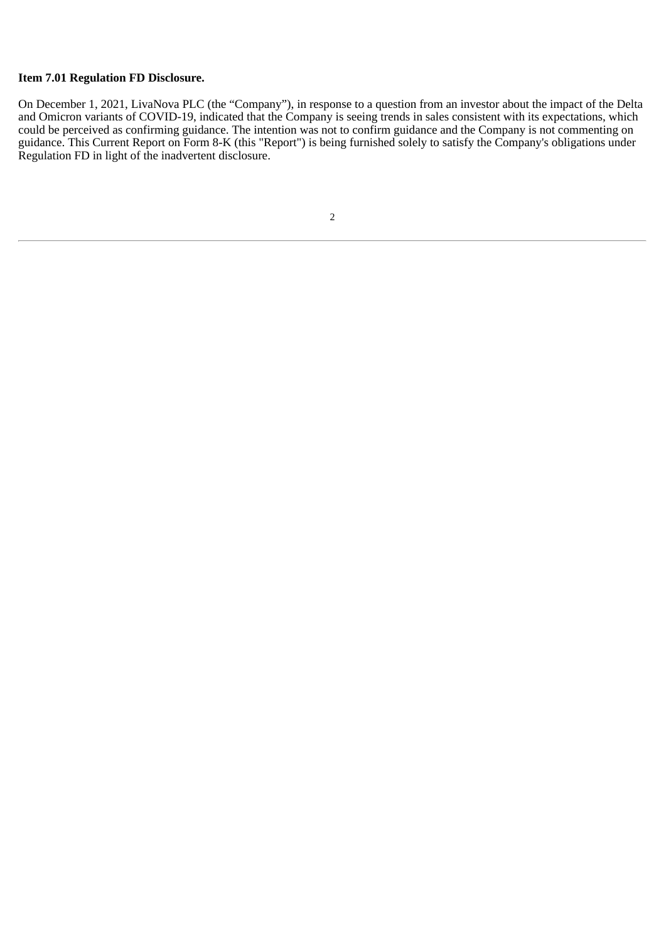# **Item 7.01 Regulation FD Disclosure.**

On December 1, 2021, LivaNova PLC (the "Company"), in response to a question from an investor about the impact of the Delta and Omicron variants of COVID-19, indicated that the Company is seeing trends in sales consistent with its expectations, which could be perceived as confirming guidance. The intention was not to confirm guidance and the Company is not commenting on guidance. This Current Report on Form 8-K (this "Report") is being furnished solely to satisfy the Company's obligations under Regulation FD in light of the inadvertent disclosure.

2